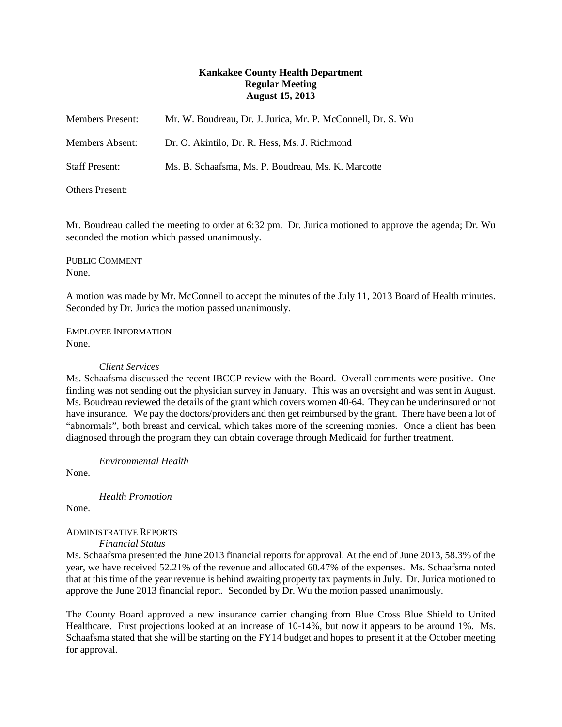# **Kankakee County Health Department Regular Meeting August 15, 2013**

| <b>Members Present:</b> | Mr. W. Boudreau, Dr. J. Jurica, Mr. P. McConnell, Dr. S. Wu |
|-------------------------|-------------------------------------------------------------|
| Members Absent:         | Dr. O. Akintilo, Dr. R. Hess, Ms. J. Richmond               |
| <b>Staff Present:</b>   | Ms. B. Schaafsma, Ms. P. Boudreau, Ms. K. Marcotte          |
| Others Present:         |                                                             |

Mr. Boudreau called the meeting to order at 6:32 pm. Dr. Jurica motioned to approve the agenda; Dr. Wu seconded the motion which passed unanimously.

PUBLIC COMMENT None.

A motion was made by Mr. McConnell to accept the minutes of the July 11, 2013 Board of Health minutes. Seconded by Dr. Jurica the motion passed unanimously.

EMPLOYEE INFORMATION None.

#### *Client Services*

Ms. Schaafsma discussed the recent IBCCP review with the Board. Overall comments were positive. One finding was not sending out the physician survey in January. This was an oversight and was sent in August. Ms. Boudreau reviewed the details of the grant which covers women 40-64. They can be underinsured or not have insurance. We pay the doctors/providers and then get reimbursed by the grant. There have been a lot of "abnormals", both breast and cervical, which takes more of the screening monies. Once a client has been diagnosed through the program they can obtain coverage through Medicaid for further treatment.

*Environmental Health*

None.

*Health Promotion*

None.

## ADMINISTRATIVE REPORTS

*Financial Status*

Ms. Schaafsma presented the June 2013 financial reports for approval. At the end of June 2013, 58.3% of the year, we have received 52.21% of the revenue and allocated 60.47% of the expenses. Ms. Schaafsma noted that at this time of the year revenue is behind awaiting property tax payments in July. Dr. Jurica motioned to approve the June 2013 financial report. Seconded by Dr. Wu the motion passed unanimously.

The County Board approved a new insurance carrier changing from Blue Cross Blue Shield to United Healthcare. First projections looked at an increase of 10-14%, but now it appears to be around 1%. Ms. Schaafsma stated that she will be starting on the FY14 budget and hopes to present it at the October meeting for approval.